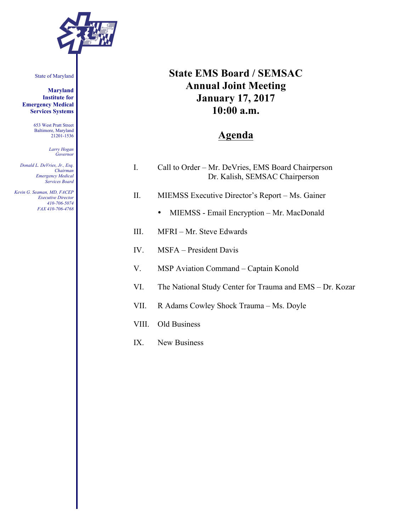

State of Maryland

**Maryland Institute for Emergency Medical Services Systems**

> 653 West Pratt Street Baltimore, Maryland 21201-1536

> > *Larry Hogan Governor*

*Donald L. DeVries, Jr., Esq. Chairman Emergency Medical Services Board*

*Kevin G. Seaman, MD, FACEP Executive Director 410-706-5074 FAX 410-706-4768*

# **State EMS Board / SEMSAC Annual Joint Meeting January 17, 2017 10:00 a.m.**

## **Agenda**

| Call to Order – Mr. DeVries, EMS Board Chairperson |
|----------------------------------------------------|
| Dr. Kalish, SEMSAC Chairperson                     |

- II. MIEMSS Executive Director's Report Ms. Gainer
	- MIEMSS Email Encryption Mr. MacDonald
- III. MFRI Mr. Steve Edwards
- IV. MSFA President Davis
- V. MSP Aviation Command Captain Konold
- VI. The National Study Center for Trauma and EMS Dr. Kozar
- VII. R Adams Cowley Shock Trauma Ms. Doyle
- VIII. Old Business
- IX. New Business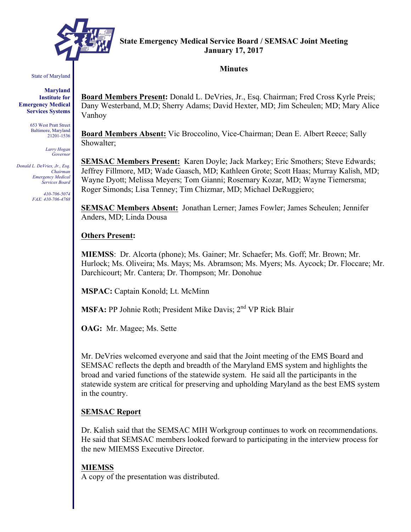

#### **State Emergency Medical Service Board / SEMSAC Joint Meeting January 17, 2017**

#### **Minutes**

State of Maryland

**Maryland Institute for Emergency Medical Services Systems**

> 653 West Pratt Street Baltimore, Maryland 21201-1536

> > *Larry Hogan Governor*

*Donald L. DeVries, Jr., Esq. Chairman Emergency Medical Services Board*

> *410-706-5074 FAX: 410-706-4768*

**Board Members Present:** Donald L. DeVries, Jr., Esq. Chairman; Fred Cross Kyrle Preis; Dany Westerband, M.D; Sherry Adams; David Hexter, MD; Jim Scheulen; MD; Mary Alice Vanhoy

**Board Members Absent:** Vic Broccolino, Vice-Chairman; Dean E. Albert Reece; Sally Showalter;

**SEMSAC Members Present:** Karen Doyle; Jack Markey; Eric Smothers; Steve Edwards; Jeffrey Fillmore, MD; Wade Gaasch, MD; Kathleen Grote; Scott Haas; Murray Kalish, MD; Wayne Dyott; Melissa Meyers; Tom Gianni; Rosemary Kozar, MD; Wayne Tiemersma; Roger Simonds; Lisa Tenney; Tim Chizmar, MD; Michael DeRuggiero;

**SEMSAC Members Absent:** Jonathan Lerner; James Fowler; James Scheulen; Jennifer Anders, MD; Linda Dousa

#### **Others Present:**

**MIEMSS**: Dr. Alcorta (phone); Ms. Gainer; Mr. Schaefer; Ms. Goff; Mr. Brown; Mr. Hurlock; Ms. Oliveira; Ms. Mays; Ms. Abramson; Ms. Myers; Ms. Aycock; Dr. Floccare; Mr. Darchicourt; Mr. Cantera; Dr. Thompson; Mr. Donohue

**MSPAC:** Captain Konold; Lt. McMinn

**MSFA:** PP Johnie Roth; President Mike Davis; 2<sup>nd</sup> VP Rick Blair

**OAG:** Mr. Magee; Ms. Sette

Mr. DeVries welcomed everyone and said that the Joint meeting of the EMS Board and SEMSAC reflects the depth and breadth of the Maryland EMS system and highlights the broad and varied functions of the statewide system. He said all the participants in the statewide system are critical for preserving and upholding Maryland as the best EMS system in the country.

### **SEMSAC Report**

Dr. Kalish said that the SEMSAC MIH Workgroup continues to work on recommendations. He said that SEMSAC members looked forward to participating in the interview process for the new MIEMSS Executive Director.

### **MIEMSS**

A copy of the presentation was distributed.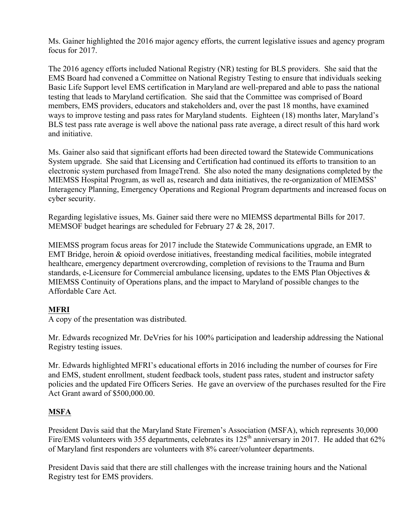Ms. Gainer highlighted the 2016 major agency efforts, the current legislative issues and agency program focus for 2017.

The 2016 agency efforts included National Registry (NR) testing for BLS providers. She said that the EMS Board had convened a Committee on National Registry Testing to ensure that individuals seeking Basic Life Support level EMS certification in Maryland are well-prepared and able to pass the national testing that leads to Maryland certification. She said that the Committee was comprised of Board members, EMS providers, educators and stakeholders and, over the past 18 months, have examined ways to improve testing and pass rates for Maryland students. Eighteen (18) months later, Maryland's BLS test pass rate average is well above the national pass rate average, a direct result of this hard work and initiative.

Ms. Gainer also said that significant efforts had been directed toward the Statewide Communications System upgrade. She said that Licensing and Certification had continued its efforts to transition to an electronic system purchased from ImageTrend. She also noted the many designations completed by the MIEMSS Hospital Program, as well as, research and data initiatives, the re-organization of MIEMSS' Interagency Planning, Emergency Operations and Regional Program departments and increased focus on cyber security.

Regarding legislative issues, Ms. Gainer said there were no MIEMSS departmental Bills for 2017. MEMSOF budget hearings are scheduled for February 27 & 28, 2017.

MIEMSS program focus areas for 2017 include the Statewide Communications upgrade, an EMR to EMT Bridge, heroin & opioid overdose initiatives, freestanding medical facilities, mobile integrated healthcare, emergency department overcrowding, completion of revisions to the Trauma and Burn standards, e-Licensure for Commercial ambulance licensing, updates to the EMS Plan Objectives & MIEMSS Continuity of Operations plans, and the impact to Maryland of possible changes to the Affordable Care Act.

### **MFRI**

A copy of the presentation was distributed.

Mr. Edwards recognized Mr. DeVries for his 100% participation and leadership addressing the National Registry testing issues.

Mr. Edwards highlighted MFRI's educational efforts in 2016 including the number of courses for Fire and EMS, student enrollment, student feedback tools, student pass rates, student and instructor safety policies and the updated Fire Officers Series. He gave an overview of the purchases resulted for the Fire Act Grant award of \$500,000.00.

### **MSFA**

President Davis said that the Maryland State Firemen's Association (MSFA), which represents 30,000 Fire/EMS volunteers with 355 departments, celebrates its 125<sup>th</sup> anniversary in 2017. He added that 62% of Maryland first responders are volunteers with 8% career/volunteer departments.

President Davis said that there are still challenges with the increase training hours and the National Registry test for EMS providers.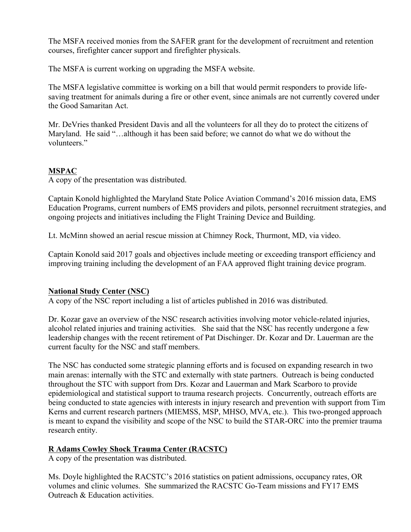The MSFA received monies from the SAFER grant for the development of recruitment and retention courses, firefighter cancer support and firefighter physicals.

The MSFA is current working on upgrading the MSFA website.

The MSFA legislative committee is working on a bill that would permit responders to provide lifesaving treatment for animals during a fire or other event, since animals are not currently covered under the Good Samaritan Act.

Mr. DeVries thanked President Davis and all the volunteers for all they do to protect the citizens of Maryland. He said "...although it has been said before; we cannot do what we do without the volunteers."

#### **MSPAC**

A copy of the presentation was distributed.

Captain Konold highlighted the Maryland State Police Aviation Command's 2016 mission data, EMS Education Programs, current numbers of EMS providers and pilots, personnel recruitment strategies, and ongoing projects and initiatives including the Flight Training Device and Building.

Lt. McMinn showed an aerial rescue mission at Chimney Rock, Thurmont, MD, via video.

Captain Konold said 2017 goals and objectives include meeting or exceeding transport efficiency and improving training including the development of an FAA approved flight training device program.

### **National Study Center (NSC)**

A copy of the NSC report including a list of articles published in 2016 was distributed.

Dr. Kozar gave an overview of the NSC research activities involving motor vehicle-related injuries, alcohol related injuries and training activities. She said that the NSC has recently undergone a few leadership changes with the recent retirement of Pat Dischinger. Dr. Kozar and Dr. Lauerman are the current faculty for the NSC and staff members.

The NSC has conducted some strategic planning efforts and is focused on expanding research in two main arenas: internally with the STC and externally with state partners. Outreach is being conducted throughout the STC with support from Drs. Kozar and Lauerman and Mark Scarboro to provide epidemiological and statistical support to trauma research projects. Concurrently, outreach efforts are being conducted to state agencies with interests in injury research and prevention with support from Tim Kerns and current research partners (MIEMSS, MSP, MHSO, MVA, etc.). This two-pronged approach is meant to expand the visibility and scope of the NSC to build the STAR-ORC into the premier trauma research entity.

### **R Adams Cowley Shock Trauma Center (RACSTC)**

A copy of the presentation was distributed.

Ms. Doyle highlighted the RACSTC's 2016 statistics on patient admissions, occupancy rates, OR volumes and clinic volumes. She summarized the RACSTC Go-Team missions and FY17 EMS Outreach & Education activities.